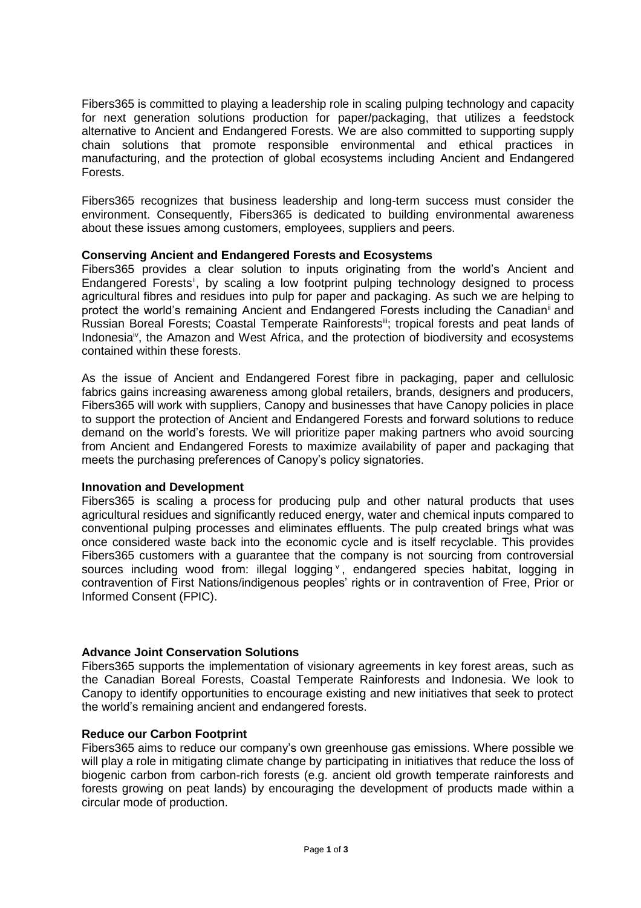Fibers365 is committed to playing a leadership role in scaling pulping technology and capacity for next generation solutions production for paper/packaging, that utilizes a feedstock alternative to Ancient and Endangered Forests. We are also committed to supporting supply chain solutions that promote responsible environmental and ethical practices in manufacturing, and the protection of global ecosystems including Ancient and Endangered Forests.

Fibers365 recognizes that business leadership and long-term success must consider the environment. Consequently, Fibers365 is dedicated to building environmental awareness about these issues among customers, employees, suppliers and peers.

## **Conserving Ancient and Endangered Forests and Ecosystems**

Fibers365 provides a clear solution to inputs originating from the world's Ancient and Endangered Forests<sup>i</sup>, by scaling a low footprint pulping technology designed to process agricultural fibres and residues into pulp for paper and packaging. As such we are helping to protect the world's remaining Ancient and Endangered Forests including the Canadian<sup>ii</sup> and Russian Boreal Forests; Coastal Temperate Rainforestsili; tropical forests and peat lands of Indonesia<sup>iv</sup>, the Amazon and West Africa, and the protection of biodiversity and ecosystems contained within these forests.

As the issue of Ancient and Endangered Forest fibre in packaging, paper and cellulosic fabrics gains increasing awareness among global retailers, brands, designers and producers, Fibers365 will work with suppliers, [Canopy](http://www.canopyplanet.org/) and [businesses](https://canopyplanet.org/partners/) that have Canopy policies in place to support the protection of Ancient and Endangered Forests and forward solutions to reduce demand on the world's forests. We will prioritize paper making partners who avoid sourcing from Ancient and Endangered Forests to maximize availability of paper and packaging that meets the purchasing preferences of Canopy's policy signatories.

#### **Innovation and Development**

Fibers365 is scaling a process for producing pulp and other natural products that uses agricultural residues and significantly reduced energy, water and chemical inputs compared to conventional pulping processes and eliminates effluents. The pulp created brings what was once considered waste back into the economic cycle and is itself recyclable. This provides Fibers365 customers with a guarantee that the company is not sourcing from controversial sources including wood from: illegal logging v, endangered species habitat, logging in contravention of First Nations/indigenous peoples' rights or in contravention of Free, Prior or Informed Consent (FPIC).

# **Advance Joint Conservation Solutions**

Fibers365 supports the implementation of visionary agreements in key forest areas, such as the Canadian Boreal Forests, Coastal Temperate Rainforests and Indonesia. We look to Canopy to identify opportunities to encourage existing and new initiatives that seek to protect the world's remaining ancient and endangered forests.

#### **Reduce our Carbon Footprint**

Fibers365 aims to reduce our company's own greenhouse gas emissions. Where possible we will play a role in mitigating climate change by participating in initiatives that reduce the loss of biogenic carbon from carbon-rich forests (e.g. ancient old growth temperate rainforests and forests growing on peat lands) by encouraging the development of products made within a circular mode of production.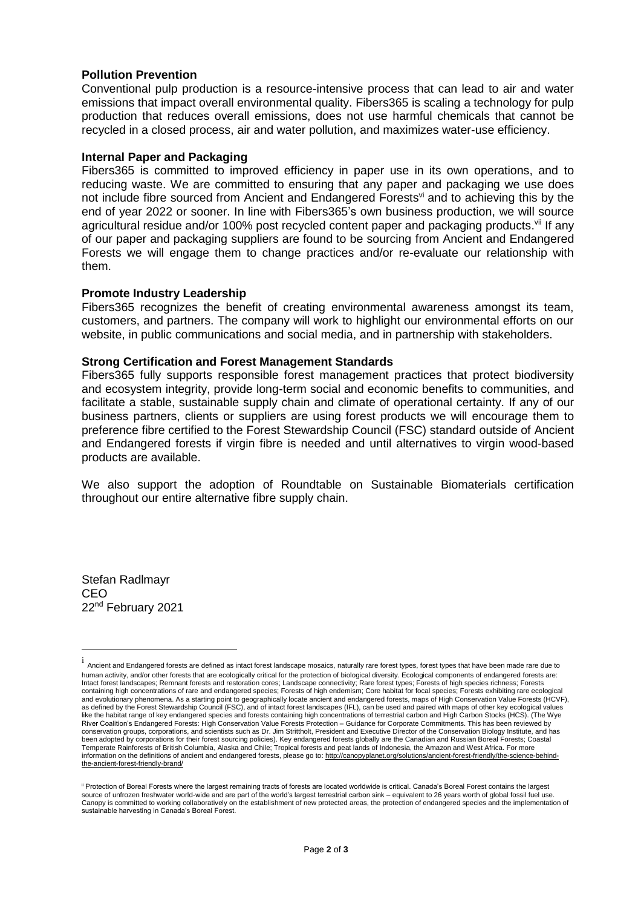## **Pollution Prevention**

Conventional pulp production is a resource-intensive process that can lead to air and water emissions that impact overall environmental quality. Fibers365 is scaling a technology for pulp production that reduces overall emissions, does not use harmful chemicals that cannot be recycled in a closed process, air and water pollution, and maximizes water-use efficiency.

#### **Internal Paper and Packaging**

Fibers365 is committed to improved efficiency in paper use in its own operations, and to reducing waste. We are committed to ensuring that any paper and packaging we use does not include fibre sourced from Ancient and Endangered Forests<sup>vi</sup> and to achieving this by the end of year 2022 or sooner. In line with Fibers365's own business production, we will source agricultural residue and/or 100% post recycled content paper and packaging products.<sup>vii</sup> If any of our paper and packaging suppliers are found to be sourcing from Ancient and Endangered Forests we will engage them to change practices and/or re-evaluate our relationship with them.

## **Promote Industry Leadership**

Fibers365 recognizes the benefit of creating environmental awareness amongst its team, customers, and partners. The company will work to highlight our environmental efforts on our website, in public communications and social media, and in partnership with stakeholders.

## **Strong Certification and Forest Management Standards**

Fibers365 fully supports responsible forest management practices that protect biodiversity and ecosystem integrity, provide long-term social and economic benefits to communities, and facilitate a stable, sustainable supply chain and climate of operational certainty. If any of our business partners, clients or suppliers are using forest products we will encourage them to preference fibre certified to the Forest Stewardship Council (FSC) standard outside of Ancient and Endangered forests if virgin fibre is needed and until alternatives to virgin wood-based products are available.

We also support the adoption of Roundtable on Sustainable Biomaterials certification throughout our entire alternative fibre supply chain.

Stefan Radlmayr **CEO** 22nd February 2021

 $\overline{a}$ 

i<br>Ancient and Endangered forests are defined as intact forest landscape mosaics, naturally rare forest types, forest types that have been made rare due to human activity, and/or other forests that are ecologically critical for the protection of biological diversity. Ecological components of endangered forests are: Intact forest landscapes; Remnant forests and restoration cores; Landscape connectivity; Rare forest types; Forests of high species richness; Forests containing high concentrations of rare and endangered species; Forests of high endemism; Core habitat for focal species; Forests exhibiting rare ecological and evolutionary phenomena. As a starting point to geographically locate ancient and endangered forests, maps of High Conservation Value Forests (HCVF), as defined by the Forest Stewardship Council (FSC), and of intact forest landscapes (IFL), can be used and paired with maps of other key ecological values like the habitat range of key endangered species and forests containing high concentrations of terrestrial carbon and High Carbon Stocks (HCS). (The Wye River Coalition's Endangered Forests: High Conservation Value Forests Protection – Guidance for Corporate Commitments. This has been reviewed by conservation groups, corporations, and scientists such as Dr. Jim Strittholt, President and Executive Director of the Conservation Biology Institute, and has been adopted by corporations for their forest sourcing policies). Key endangered forests globally are the Canadian and Russian Boreal Forests; Coastal<br>Temperate Rainforests of British Columbia, Alaska and Chile; Tropical f information on the definitions of ancient and endangered forests, please go to[: http://canopyplanet.org/solutions/ancient-forest-friendly/the-science-behind](http://canopyplanet.org/solutions/ancient-forest-friendly/the-science-behind-the-ancient-forest-friendly-brand/)[the-ancient-forest-friendly-brand/](http://canopyplanet.org/solutions/ancient-forest-friendly/the-science-behind-the-ancient-forest-friendly-brand/)

<sup>&</sup>lt;sup>ii</sup> Protection of Boreal Forests where the largest remaining tracts of forests are located worldwide is critical. Canada's Boreal Forest contains the largest source of unfrozen freshwater world-wide and are part of the world's largest terrestrial carbon sink – equivalent to 26 years worth of global fossil fuel use. Canopy is committed to working collaboratively on the establishment of new protected areas, the protection of endangered species and the implementation of sustainable harvesting in Canada's Boreal Forest.